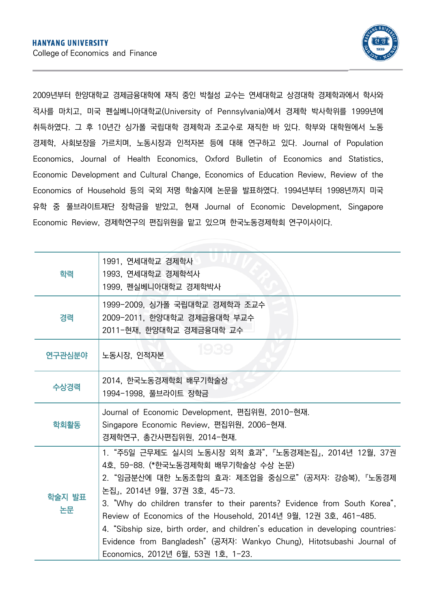

2009년부터 한양대학교 경제금융대학에 재직 중인 박철성 교수는 연세대학교 상경대학 경제학과에서 학사와 석사를 마치고, 미국 펜실베니아대학교(University of Pennsylvania)에서 경제학 박사학위를 1999년에 취득하였다. 그 후 10년간 싱가폴 국립대학 경제학과 조교수로 재직한 바 있다. 학부와 대학원에서 노동 경제학, 사회보장을 가르치며, 노동시장과 인적자본 등에 대해 연구하고 있다. Journal of Population Economics, Journal of Health Economics, Oxford Bulletin of Economics and Statistics, Economic Development and Cultural Change, Economics of Education Review, Review of the Economics of Household 등의 국외 저명 학술지에 논문을 발표하였다. 1994년부터 1998년까지 미국 유학 중 풀브라이트재단 장학금을 받았고, 현재 Journal of Economic Development, Singapore Economic Review, 경제학연구의 편집위원을 맡고 있으며 한국노동경제학회 연구이사이다.

| 학력           | 1991, 연세대학교 경제학사<br>1993, 연세대학교 경제학석사<br>1999, 펜실베니아대학교 경제학박사                                                                                                                                                                                                                                                                                                                                                                                                                                                                            |
|--------------|------------------------------------------------------------------------------------------------------------------------------------------------------------------------------------------------------------------------------------------------------------------------------------------------------------------------------------------------------------------------------------------------------------------------------------------------------------------------------------------------------------------------------------------|
| 경력           | 1999-2009, 싱가폴 국립대학교 경제학과 조교수<br>2009-2011, 한양대학교 경제금융대학 부교수<br>2011-현재, 한양대학교 경제금융대학 교수                                                                                                                                                                                                                                                                                                                                                                                                                                                 |
| 연구관심분야       | <b>1989</b><br>노동시장, 인적자본                                                                                                                                                                                                                                                                                                                                                                                                                                                                                                                |
| 수상경력         | 2014, 한국노동경제학회 배무기학술상<br>1994-1998, 풀브라이트 장학금                                                                                                                                                                                                                                                                                                                                                                                                                                                                                            |
| 학회활동         | Journal of Economic Development, 편집위원, 2010-현재.<br>Singapore Economic Review, 편집위원, 2006-현재.<br>경제학연구, 총간사편집위원, 2014-현재.                                                                                                                                                                                                                                                                                                                                                                                                                 |
| 학술지 발표<br>논문 | 1. "주5일 근무제도 실시의 노동시장 외적 효과", 『노동경제논집』, 2014년 12월, 37권<br>4호, 59-88. (*한국노동경제학회 배무기학술상 수상 논문)<br>2."임금분산에 대한 노동조합의 효과: 제조업을 중심으로"(공저자: 강승복),『노동경제<br>논집』, 2014년 9월, 37권 3호, 45-73.<br>3. "Why do children transfer to their parents? Evidence from South Korea",<br>Review of Economics of the Household, 2014년 9월, 12권 3호, 461-485.<br>4. "Sibship size, birth order, and children's education in developing countries:<br>Evidence from Bangladesh" (공저자: Wankyo Chung), Hitotsubashi Journal of<br>Economics, 2012년 6월, 53권 1호, 1-23. |